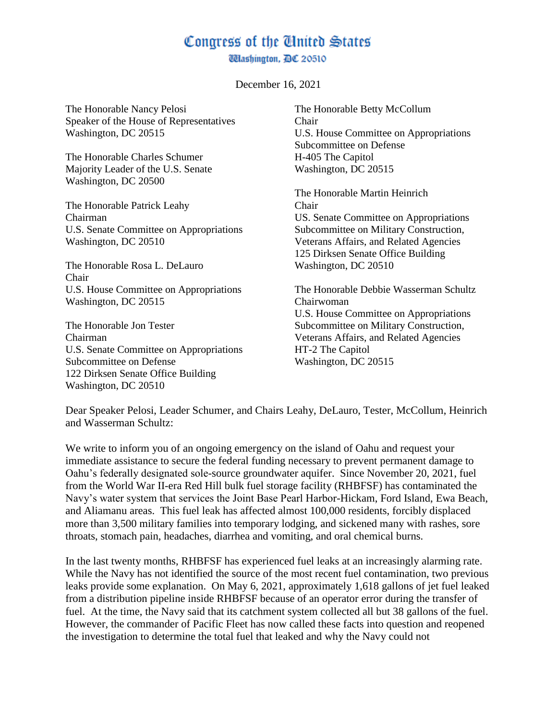## Congress of the Cinited States

**Wlashington, DC 20510** 

December 16, 2021

The Honorable Nancy Pelosi Speaker of the House of Representatives Washington, DC 20515 The Honorable Charles Schumer Majority Leader of the U.S. Senate Washington, DC 20500 The Honorable Patrick Leahy Chairman U.S. Senate Committee on Appropriations Washington, DC 20510 The Honorable Rosa L. DeLauro Chair U.S. House Committee on Appropriations Washington, DC 20515 The Honorable Jon Tester The Honorable Betty McCollum Chair U.S. House Committee on Appropriations Subcommittee on Defense H-405 The Capitol Washington, DC 20515 The Honorable Martin Heinrich Chair US. Senate Committee on Appropriations Subcommittee on Military Construction, Veterans Affairs, and Related Agencies 125 Dirksen Senate Office Building Washington, DC 20510 The Honorable Debbie Wasserman Schultz Chairwoman U.S. House Committee on Appropriations Subcommittee on Military Construction, Veterans Affairs, and Related Agencies

Chairman U.S. Senate Committee on Appropriations Subcommittee on Defense 122 Dirksen Senate Office Building Washington, DC 20510

HT-2 The Capitol Washington, DC 20515

Dear Speaker Pelosi, Leader Schumer, and Chairs Leahy, DeLauro, Tester, McCollum, Heinrich and Wasserman Schultz:

We write to inform you of an ongoing emergency on the island of Oahu and request your immediate assistance to secure the federal funding necessary to prevent permanent damage to Oahu's federally designated sole-source groundwater aquifer. Since November 20, 2021, fuel from the World War II-era Red Hill bulk fuel storage facility (RHBFSF) has contaminated the Navy's water system that services the Joint Base Pearl Harbor-Hickam, Ford Island, Ewa Beach, and Aliamanu areas. This fuel leak has affected almost 100,000 residents, forcibly displaced more than 3,500 military families into temporary lodging, and sickened many with rashes, sore throats, stomach pain, headaches, diarrhea and vomiting, and oral chemical burns.

In the last twenty months, RHBFSF has experienced fuel leaks at an increasingly alarming rate. While the Navy has not identified the source of the most recent fuel contamination, two previous leaks provide some explanation. On May 6, 2021, approximately 1,618 gallons of jet fuel leaked from a distribution pipeline inside RHBFSF because of an operator error during the transfer of fuel. At the time, the Navy said that its catchment system collected all but 38 gallons of the fuel. However, the commander of Pacific Fleet has now called these facts into question and reopened the investigation to determine the total fuel that leaked and why the Navy could not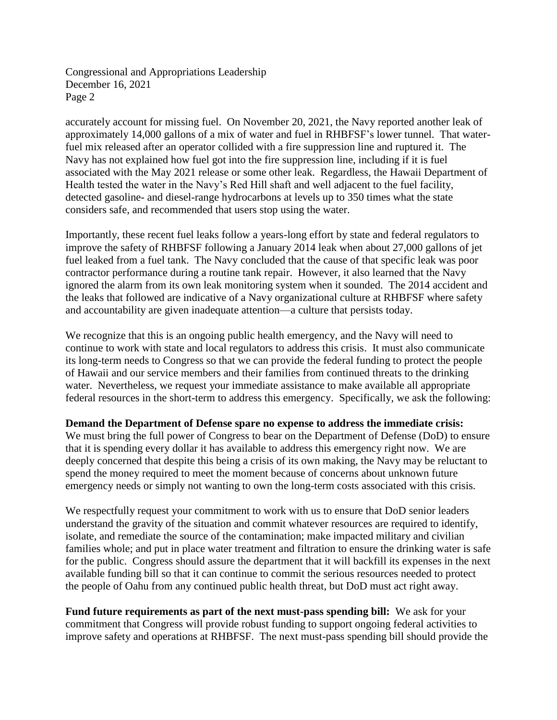Congressional and Appropriations Leadership December 16, 2021 Page 2

accurately account for missing fuel. On November 20, 2021, the Navy reported another leak of approximately 14,000 gallons of a mix of water and fuel in RHBFSF's lower tunnel. That waterfuel mix released after an operator collided with a fire suppression line and ruptured it. The Navy has not explained how fuel got into the fire suppression line, including if it is fuel associated with the May 2021 release or some other leak. Regardless, the Hawaii Department of Health tested the water in the Navy's Red Hill shaft and well adjacent to the fuel facility, detected gasoline- and diesel-range hydrocarbons at levels up to 350 times what the state considers safe, and recommended that users stop using the water.

Importantly, these recent fuel leaks follow a years-long effort by state and federal regulators to improve the safety of RHBFSF following a January 2014 leak when about 27,000 gallons of jet fuel leaked from a fuel tank. The Navy concluded that the cause of that specific leak was poor contractor performance during a routine tank repair. However, it also learned that the Navy ignored the alarm from its own leak monitoring system when it sounded. The 2014 accident and the leaks that followed are indicative of a Navy organizational culture at RHBFSF where safety and accountability are given inadequate attention—a culture that persists today.

We recognize that this is an ongoing public health emergency, and the Navy will need to continue to work with state and local regulators to address this crisis. It must also communicate its long-term needs to Congress so that we can provide the federal funding to protect the people of Hawaii and our service members and their families from continued threats to the drinking water. Nevertheless, we request your immediate assistance to make available all appropriate federal resources in the short-term to address this emergency. Specifically, we ask the following:

## **Demand the Department of Defense spare no expense to address the immediate crisis:**

We must bring the full power of Congress to bear on the Department of Defense (DoD) to ensure that it is spending every dollar it has available to address this emergency right now. We are deeply concerned that despite this being a crisis of its own making, the Navy may be reluctant to spend the money required to meet the moment because of concerns about unknown future emergency needs or simply not wanting to own the long-term costs associated with this crisis.

We respectfully request your commitment to work with us to ensure that DoD senior leaders understand the gravity of the situation and commit whatever resources are required to identify, isolate, and remediate the source of the contamination; make impacted military and civilian families whole; and put in place water treatment and filtration to ensure the drinking water is safe for the public. Congress should assure the department that it will backfill its expenses in the next available funding bill so that it can continue to commit the serious resources needed to protect the people of Oahu from any continued public health threat, but DoD must act right away.

**Fund future requirements as part of the next must-pass spending bill:** We ask for your commitment that Congress will provide robust funding to support ongoing federal activities to improve safety and operations at RHBFSF. The next must-pass spending bill should provide the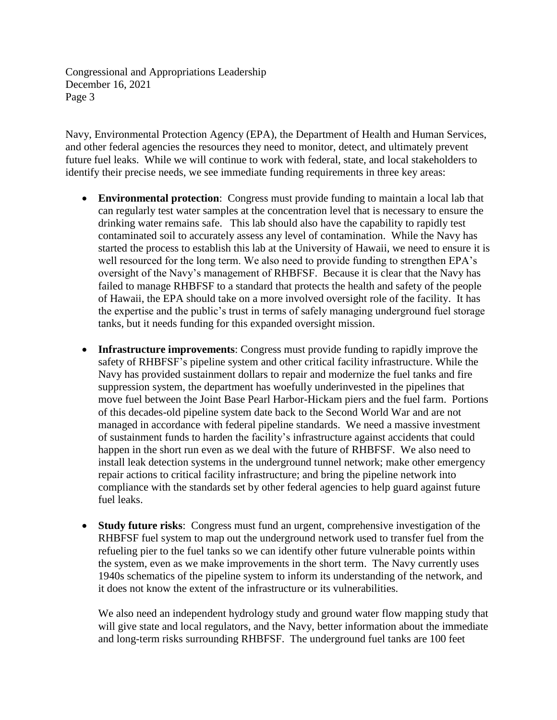Congressional and Appropriations Leadership December 16, 2021 Page 3

Navy, Environmental Protection Agency (EPA), the Department of Health and Human Services, and other federal agencies the resources they need to monitor, detect, and ultimately prevent future fuel leaks. While we will continue to work with federal, state, and local stakeholders to identify their precise needs, we see immediate funding requirements in three key areas:

- **Environmental protection**:Congress must provide funding to maintain a local lab that can regularly test water samples at the concentration level that is necessary to ensure the drinking water remains safe. This lab should also have the capability to rapidly test contaminated soil to accurately assess any level of contamination. While the Navy has started the process to establish this lab at the University of Hawaii, we need to ensure it is well resourced for the long term. We also need to provide funding to strengthen EPA's oversight of the Navy's management of RHBFSF. Because it is clear that the Navy has failed to manage RHBFSF to a standard that protects the health and safety of the people of Hawaii, the EPA should take on a more involved oversight role of the facility. It has the expertise and the public's trust in terms of safely managing underground fuel storage tanks, but it needs funding for this expanded oversight mission.
- **Infrastructure improvements**: Congress must provide funding to rapidly improve the safety of RHBFSF's pipeline system and other critical facility infrastructure. While the Navy has provided sustainment dollars to repair and modernize the fuel tanks and fire suppression system, the department has woefully underinvested in the pipelines that move fuel between the Joint Base Pearl Harbor-Hickam piers and the fuel farm. Portions of this decades-old pipeline system date back to the Second World War and are not managed in accordance with federal pipeline standards. We need a massive investment of sustainment funds to harden the facility's infrastructure against accidents that could happen in the short run even as we deal with the future of RHBFSF. We also need to install leak detection systems in the underground tunnel network; make other emergency repair actions to critical facility infrastructure; and bring the pipeline network into compliance with the standards set by other federal agencies to help guard against future fuel leaks.
- **Study future risks**:Congress must fund an urgent, comprehensive investigation of the RHBFSF fuel system to map out the underground network used to transfer fuel from the refueling pier to the fuel tanks so we can identify other future vulnerable points within the system, even as we make improvements in the short term. The Navy currently uses 1940s schematics of the pipeline system to inform its understanding of the network, and it does not know the extent of the infrastructure or its vulnerabilities.

We also need an independent hydrology study and ground water flow mapping study that will give state and local regulators, and the Navy, better information about the immediate and long-term risks surrounding RHBFSF. The underground fuel tanks are 100 feet